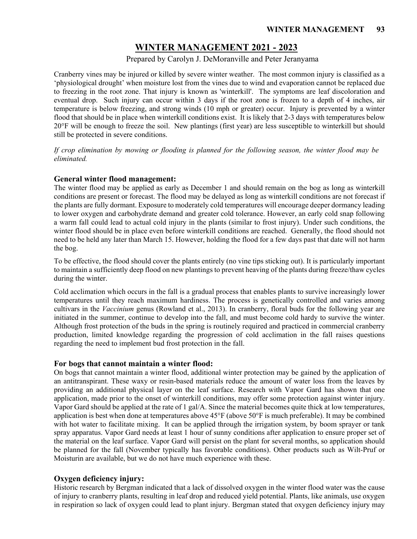# **WINTER MANAGEMENT 2021 - 2023**

## Prepared by Carolyn J. DeMoranville and Peter Jeranyama

Cranberry vines may be injured or killed by severe winter weather. The most common injury is classified as a 'physiological drought' when moisture lost from the vines due to wind and evaporation cannot be replaced due to freezing in the root zone. That injury is known as 'winterkill'. The symptoms are leaf discoloration and eventual drop. Such injury can occur within 3 days if the root zone is frozen to a depth of 4 inches, air temperature is below freezing, and strong winds (10 mph or greater) occur. Injury is prevented by a winter flood that should be in place when winterkill conditions exist. It is likely that 2-3 days with temperatures below 20°F will be enough to freeze the soil. New plantings (first year) are less susceptible to winterkill but should still be protected in severe conditions.

*If crop elimination by mowing or flooding is planned for the following season, the winter flood may be eliminated.*

## **General winter flood management:**

The winter flood may be applied as early as December 1 and should remain on the bog as long as winterkill conditions are present or forecast. The flood may be delayed as long as winterkill conditions are not forecast if the plants are fully dormant. Exposure to moderately cold temperatures will encourage deeper dormancy leading to lower oxygen and carbohydrate demand and greater cold tolerance. However, an early cold snap following a warm fall could lead to actual cold injury in the plants (similar to frost injury). Under such conditions, the winter flood should be in place even before winterkill conditions are reached. Generally, the flood should not need to be held any later than March 15. However, holding the flood for a few days past that date will not harm the bog.

To be effective, the flood should cover the plants entirely (no vine tips sticking out). It is particularly important to maintain a sufficiently deep flood on new plantingsto prevent heaving of the plants during freeze/thaw cycles during the winter.

Cold acclimation which occurs in the fall is a gradual process that enables plants to survive increasingly lower temperatures until they reach maximum hardiness. The process is genetically controlled and varies among cultivars in the *Vaccinium* genus (Rowland et al., 2013). In cranberry, floral buds for the following year are initiated in the summer, continue to develop into the fall, and must become cold hardy to survive the winter. Although frost protection of the buds in the spring is routinely required and practiced in commercial cranberry production, limited knowledge regarding the progression of cold acclimation in the fall raises questions regarding the need to implement bud frost protection in the fall.

## **For bogs that cannot maintain a winter flood:**

On bogs that cannot maintain a winter flood, additional winter protection may be gained by the application of an antitranspirant. These waxy or resin-based materials reduce the amount of water loss from the leaves by providing an additional physical layer on the leaf surface. Research with Vapor Gard has shown that one application, made prior to the onset of winterkill conditions, may offer some protection against winter injury. Vapor Gard should be applied at the rate of 1 gal/A. Since the material becomes quite thick at low temperatures, application is best when done at temperatures above 45°F (above 50°F is much preferable). It may be combined with hot water to facilitate mixing. It can be applied through the irrigation system, by boom sprayer or tank spray apparatus. Vapor Gard needs at least 1 hour of sunny conditions after application to ensure proper set of the material on the leaf surface. Vapor Gard will persist on the plant for several months, so application should be planned for the fall (November typically has favorable conditions). Other products such as Wilt-Pruf or Moisturin are available, but we do not have much experience with these.

## **Oxygen deficiency injury:**

Historic research by Bergman indicated that a lack of dissolved oxygen in the winter flood water was the cause of injury to cranberry plants, resulting in leaf drop and reduced yield potential. Plants, like animals, use oxygen in respiration so lack of oxygen could lead to plant injury. Bergman stated that oxygen deficiency injury may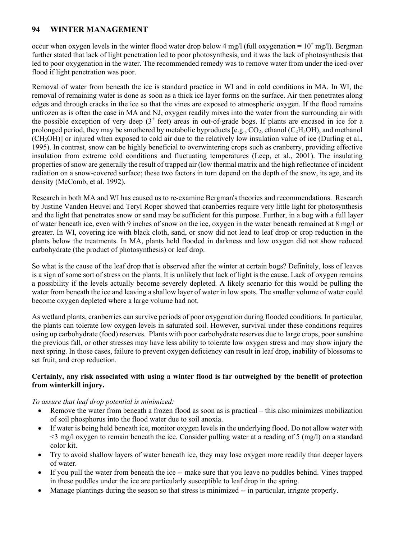## **94 WINTER MANAGEMENT**

occur when oxygen levels in the winter flood water drop below 4 mg/l (full oxygenation =  $10^+$  mg/l). Bergman further stated that lack of light penetration led to poor photosynthesis, and it was the lack of photosynthesis that led to poor oxygenation in the water. The recommended remedy was to remove water from under the iced-over flood if light penetration was poor.

Removal of water from beneath the ice is standard practice in WI and in cold conditions in MA. In WI, the removal of remaining water is done as soon as a thick ice layer forms on the surface. Air then penetrates along edges and through cracks in the ice so that the vines are exposed to atmospheric oxygen. If the flood remains unfrozen as is often the case in MA and NJ, oxygen readily mixes into the water from the surrounding air with the possible exception of very deep  $(3^+$  feet) areas in out-of-grade bogs. If plants are encased in ice for a prolonged period, they may be smothered by metabolic byproducts [e.g.,  $CO_2$ , ethanol ( $C_2H_5OH$ ), and methanol (CH3OH)] or injured when exposed to cold air due to the relatively low insulation value of ice (Durling et al., 1995). In contrast, snow can be highly beneficial to overwintering crops such as cranberry, providing effective insulation from extreme cold conditions and fluctuating temperatures (Leep, et al., 2001). The insulating properties of snow are generally the result of trapped air (low thermal matrix and the high reflectance of incident radiation on a snow-covered surface; these two factors in turn depend on the depth of the snow, its age, and its density (McComb, et al. 1992).

Research in both MA and WI has caused us to re-examine Bergman's theories and recommendations. Research by Justine Vanden Heuvel and Teryl Roper showed that cranberries require very little light for photosynthesis and the light that penetrates snow or sand may be sufficient for this purpose. Further, in a bog with a full layer of water beneath ice, even with 9 inches of snow on the ice, oxygen in the water beneath remained at 8 mg/l or greater. In WI, covering ice with black cloth, sand, or snow did not lead to leaf drop or crop reduction in the plants below the treatments. In MA, plants held flooded in darkness and low oxygen did not show reduced carbohydrate (the product of photosynthesis) or leaf drop.

So what is the cause of the leaf drop that is observed after the winter at certain bogs? Definitely, loss of leaves is a sign of some sort of stress on the plants. It is unlikely that lack of light is the cause. Lack of oxygen remains a possibility if the levels actually become severely depleted. A likely scenario for this would be pulling the water from beneath the ice and leaving a shallow layer of water in low spots. The smaller volume of water could become oxygen depleted where a large volume had not.

As wetland plants, cranberries can survive periods of poor oxygenation during flooded conditions. In particular, the plants can tolerate low oxygen levels in saturated soil. However, survival under these conditions requires using up carbohydrate (food) reserves. Plants with poor carbohydrate reserves due to large crops, poor sunshine the previous fall, or other stresses may have less ability to tolerate low oxygen stress and may show injury the next spring. In those cases, failure to prevent oxygen deficiency can result in leaf drop, inability of blossoms to set fruit, and crop reduction.

## **Certainly, any risk associated with using a winter flood is far outweighed by the benefit of protection from winterkill injury.**

## *To assure that leaf drop potential is minimized:*

- Remove the water from beneath a frozen flood as soon as is practical this also minimizes mobilization of soil phosphorus into the flood water due to soil anoxia.
- If water is being held beneath ice, monitor oxygen levels in the underlying flood. Do not allow water with  $\leq$ 3 mg/l oxygen to remain beneath the ice. Consider pulling water at a reading of 5 (mg/l) on a standard color kit.
- Try to avoid shallow layers of water beneath ice, they may lose oxygen more readily than deeper layers of water.
- If you pull the water from beneath the ice -- make sure that you leave no puddles behind. Vines trapped in these puddles under the ice are particularly susceptible to leaf drop in the spring.
- Manage plantings during the season so that stress is minimized -- in particular, irrigate properly.